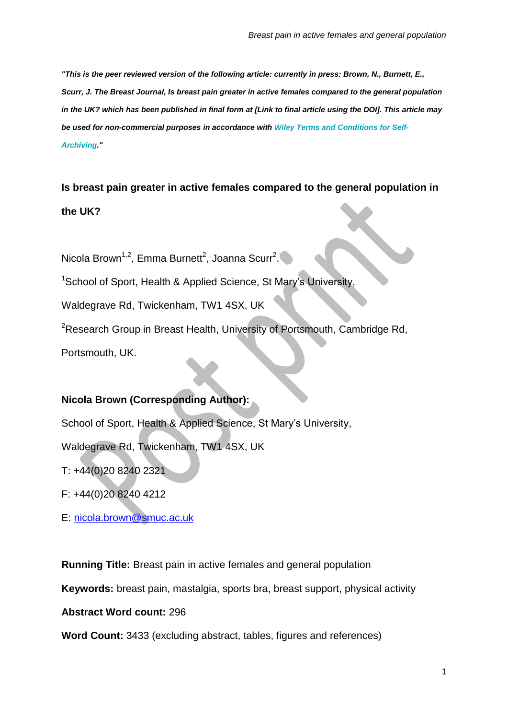*"This is the peer reviewed version of the following article: currently in press: Brown, N., Burnett, E., Scurr, J. The Breast Journal, Is breast pain greater in active females compared to the general population* in the UK? which has been published in final form at [Link to final article using the DOI]. This article may *be used for non-commercial purposes in accordance with Wiley Terms and [Conditions](http://olabout.wiley.com/WileyCDA/Section/id-820227.html#terms) for Self-[Archiving.](http://olabout.wiley.com/WileyCDA/Section/id-820227.html#terms)"*

**Is breast pain greater in active females compared to the general population in the UK?**

Nicola Brown<sup>1,2</sup>, Emma Burnett<sup>2</sup>, Joanna Scurr<sup>2</sup>.

<sup>1</sup>School of Sport, Health & Applied Science, St Mary's University

Waldegrave Rd, Twickenham, TW1 4SX, UK

<sup>2</sup>Research Group in Breast Health, University of Portsmouth, Cambridge Rd,

Portsmouth, UK.

# **Nicola Brown (Corresponding Author):**

School of Sport, Health & Applied Science, St Mary's University,

Waldegrave Rd, Twickenham, TW1 4SX, UK

T: +44(0)20 8240 2321

F: +44(0)20 8240 4212

E: [nicola.brown@smuc.ac.uk](mailto:nicola.brown@smuc.ac.uk)

**Running Title:** Breast pain in active females and general population

**Keywords:** breast pain, mastalgia, sports bra, breast support, physical activity

**Abstract Word count:** 296

**Word Count:** 3433 (excluding abstract, tables, figures and references)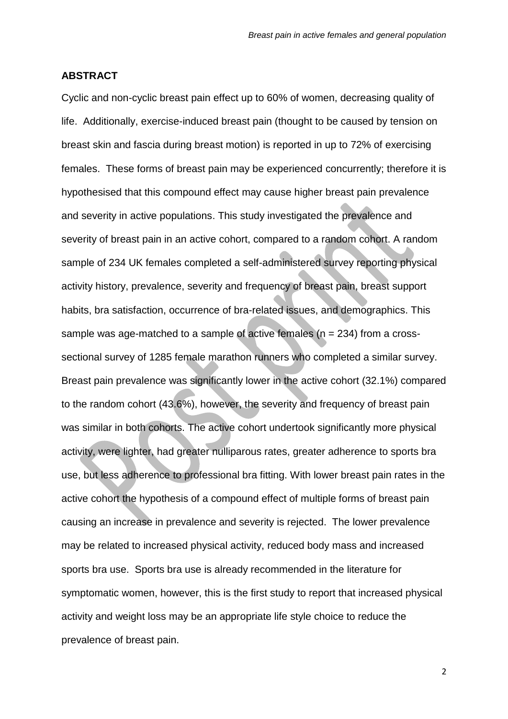## **ABSTRACT**

Cyclic and non-cyclic breast pain effect up to 60% of women, decreasing quality of life. Additionally, exercise-induced breast pain (thought to be caused by tension on breast skin and fascia during breast motion) is reported in up to 72% of exercising females. These forms of breast pain may be experienced concurrently; therefore it is hypothesised that this compound effect may cause higher breast pain prevalence and severity in active populations. This study investigated the prevalence and severity of breast pain in an active cohort, compared to a random cohort. A random sample of 234 UK females completed a self-administered survey reporting physical activity history, prevalence, severity and frequency of breast pain, breast support habits, bra satisfaction, occurrence of bra-related issues, and demographics. This sample was age-matched to a sample of active females (n = 234) from a crosssectional survey of 1285 female marathon runners who completed a similar survey. Breast pain prevalence was significantly lower in the active cohort (32.1%) compared to the random cohort (43.6%), however, the severity and frequency of breast pain was similar in both cohorts. The active cohort undertook significantly more physical activity, were lighter, had greater nulliparous rates, greater adherence to sports bra use, but less adherence to professional bra fitting. With lower breast pain rates in the active cohort the hypothesis of a compound effect of multiple forms of breast pain causing an increase in prevalence and severity is rejected. The lower prevalence may be related to increased physical activity, reduced body mass and increased sports bra use. Sports bra use is already recommended in the literature for symptomatic women, however, this is the first study to report that increased physical activity and weight loss may be an appropriate life style choice to reduce the prevalence of breast pain.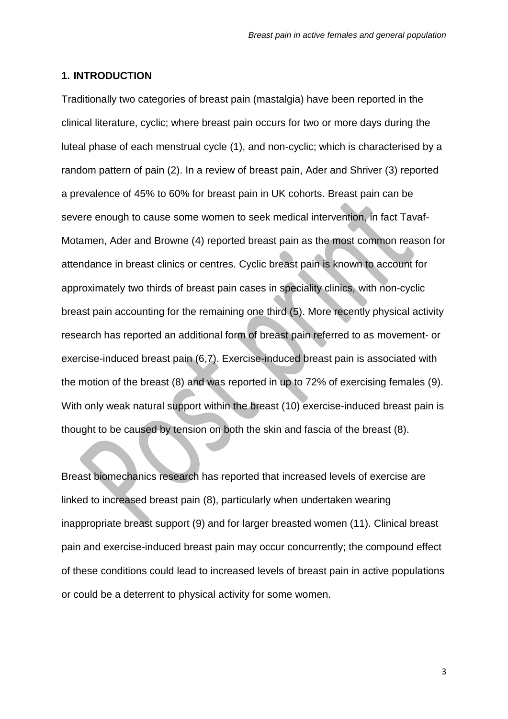#### **1. INTRODUCTION**

Traditionally two categories of breast pain (mastalgia) have been reported in the clinical literature, cyclic; where breast pain occurs for two or more days during the luteal phase of each menstrual cycle (1), and non-cyclic; which is characterised by a random pattern of pain (2). In a review of breast pain, Ader and Shriver (3) reported a prevalence of 45% to 60% for breast pain in UK cohorts. Breast pain can be severe enough to cause some women to seek medical intervention, in fact Tavaf-Motamen, Ader and Browne (4) reported breast pain as the most common reason for attendance in breast clinics or centres. Cyclic breast pain is known to account for approximately two thirds of breast pain cases in speciality clinics, with non-cyclic breast pain accounting for the remaining one third (5). More recently physical activity research has reported an additional form of breast pain referred to as movement- or exercise-induced breast pain (6,7). Exercise-induced breast pain is associated with the motion of the breast (8) and was reported in up to 72% of exercising females (9). With only weak natural support within the breast (10) exercise-induced breast pain is thought to be caused by tension on both the skin and fascia of the breast (8).

Breast biomechanics research has reported that increased levels of exercise are linked to increased breast pain (8), particularly when undertaken wearing inappropriate breast support (9) and for larger breasted women (11). Clinical breast pain and exercise-induced breast pain may occur concurrently; the compound effect of these conditions could lead to increased levels of breast pain in active populations or could be a deterrent to physical activity for some women.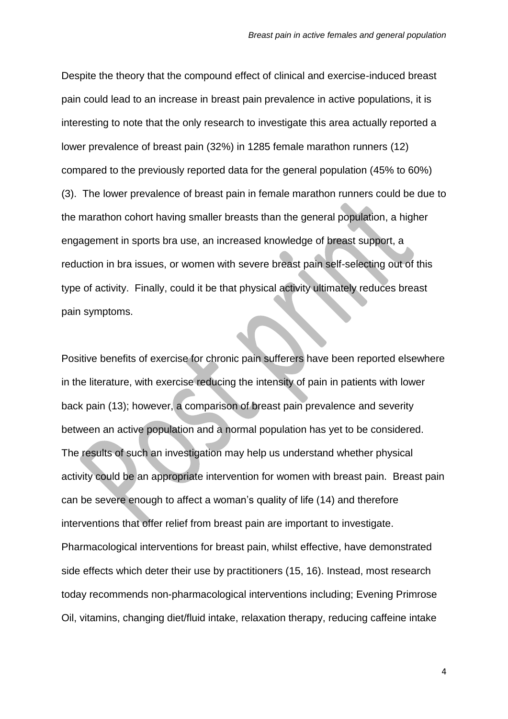Despite the theory that the compound effect of clinical and exercise-induced breast pain could lead to an increase in breast pain prevalence in active populations, it is interesting to note that the only research to investigate this area actually reported a lower prevalence of breast pain (32%) in 1285 female marathon runners (12) compared to the previously reported data for the general population (45% to 60%) (3). The lower prevalence of breast pain in female marathon runners could be due to the marathon cohort having smaller breasts than the general population, a higher engagement in sports bra use, an increased knowledge of breast support, a reduction in bra issues, or women with severe breast pain self-selecting out of this type of activity. Finally, could it be that physical activity ultimately reduces breast pain symptoms.

Positive benefits of exercise for chronic pain sufferers have been reported elsewhere in the literature, with exercise reducing the intensity of pain in patients with lower back pain (13); however, a comparison of breast pain prevalence and severity between an active population and a normal population has yet to be considered. The results of such an investigation may help us understand whether physical activity could be an appropriate intervention for women with breast pain. Breast pain can be severe enough to affect a woman's quality of life (14) and therefore interventions that offer relief from breast pain are important to investigate. Pharmacological interventions for breast pain, whilst effective, have demonstrated side effects which deter their use by practitioners (15, 16). Instead, most research today recommends non-pharmacological interventions including; Evening Primrose Oil, vitamins, changing diet/fluid intake, relaxation therapy, reducing caffeine intake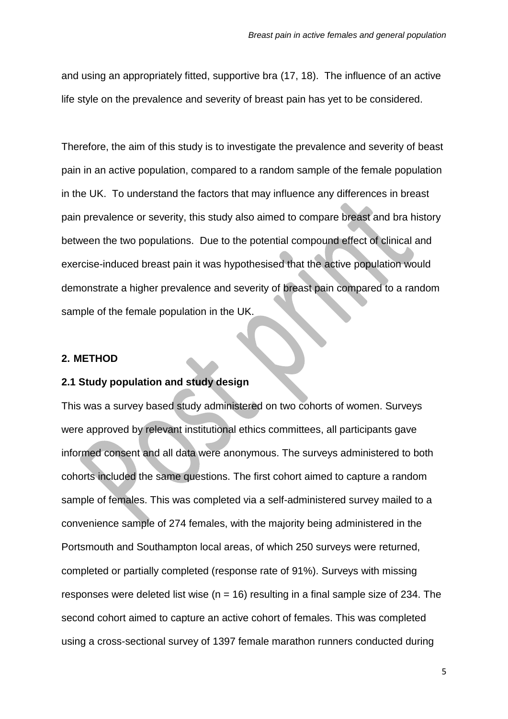and using an appropriately fitted, supportive bra (17, 18). The influence of an active life style on the prevalence and severity of breast pain has yet to be considered.

Therefore, the aim of this study is to investigate the prevalence and severity of beast pain in an active population, compared to a random sample of the female population in the UK. To understand the factors that may influence any differences in breast pain prevalence or severity, this study also aimed to compare breast and bra history between the two populations. Due to the potential compound effect of clinical and exercise-induced breast pain it was hypothesised that the active population would demonstrate a higher prevalence and severity of breast pain compared to a random sample of the female population in the UK.

#### **2. METHOD**

#### **2.1 Study population and study design**

This was a survey based study administered on two cohorts of women. Surveys were approved by relevant institutional ethics committees, all participants gave informed consent and all data were anonymous. The surveys administered to both cohorts included the same questions. The first cohort aimed to capture a random sample of females. This was completed via a self-administered survey mailed to a convenience sample of 274 females, with the majority being administered in the Portsmouth and Southampton local areas, of which 250 surveys were returned, completed or partially completed (response rate of 91%). Surveys with missing responses were deleted list wise ( $n = 16$ ) resulting in a final sample size of 234. The second cohort aimed to capture an active cohort of females. This was completed using a cross-sectional survey of 1397 female marathon runners conducted during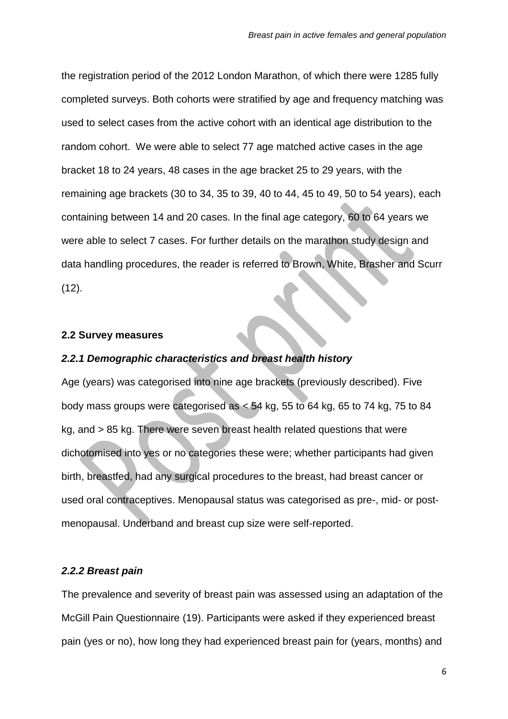the registration period of the 2012 London Marathon, of which there were 1285 fully completed surveys. Both cohorts were stratified by age and frequency matching was used to select cases from the active cohort with an identical age distribution to the random cohort. We were able to select 77 age matched active cases in the age bracket 18 to 24 years, 48 cases in the age bracket 25 to 29 years, with the remaining age brackets (30 to 34, 35 to 39, 40 to 44, 45 to 49, 50 to 54 years), each containing between 14 and 20 cases. In the final age category, 60 to 64 years we were able to select 7 cases. For further details on the marathon study design and data handling procedures, the reader is referred to Brown, White, Brasher and Scurr  $(12)$ .

#### **2.2 Survey measures**

## *2.2.1 Demographic characteristics and breast health history*

Age (years) was categorised into nine age brackets (previously described). Five body mass groups were categorised as  $< 54$  kg, 55 to 64 kg, 65 to 74 kg, 75 to 84 kg, and > 85 kg. There were seven breast health related questions that were dichotomised into yes or no categories these were; whether participants had given birth, breastfed, had any surgical procedures to the breast, had breast cancer or used oral contraceptives. Menopausal status was categorised as pre-, mid- or postmenopausal. Underband and breast cup size were self-reported.

#### *2.2.2 Breast pain*

The prevalence and severity of breast pain was assessed using an adaptation of the McGill Pain Questionnaire (19). Participants were asked if they experienced breast pain (yes or no), how long they had experienced breast pain for (years, months) and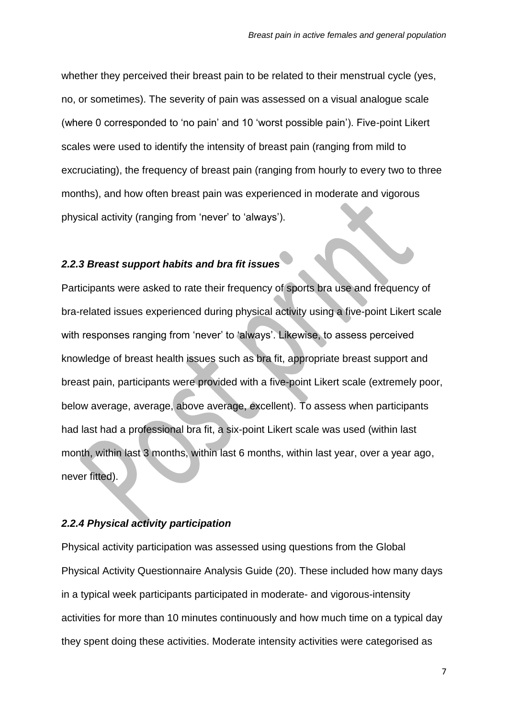whether they perceived their breast pain to be related to their menstrual cycle (yes, no, or sometimes). The severity of pain was assessed on a visual analogue scale (where 0 corresponded to 'no pain' and 10 'worst possible pain'). Five-point Likert scales were used to identify the intensity of breast pain (ranging from mild to excruciating), the frequency of breast pain (ranging from hourly to every two to three months), and how often breast pain was experienced in moderate and vigorous physical activity (ranging from 'never' to 'always').

# *2.2.3 Breast support habits and bra fit issues*

Participants were asked to rate their frequency of sports bra use and frequency of bra-related issues experienced during physical activity using a five-point Likert scale with responses ranging from 'never' to 'always'. Likewise, to assess perceived knowledge of breast health issues such as bra fit, appropriate breast support and breast pain, participants were provided with a five-point Likert scale (extremely poor, below average, average, above average, excellent). To assess when participants had last had a professional bra fit, a six-point Likert scale was used (within last month, within last 3 months, within last 6 months, within last year, over a year ago, never fitted).

## *2.2.4 Physical activity participation*

Physical activity participation was assessed using questions from the Global Physical Activity Questionnaire Analysis Guide (20). These included how many days in a typical week participants participated in moderate- and vigorous-intensity activities for more than 10 minutes continuously and how much time on a typical day they spent doing these activities. Moderate intensity activities were categorised as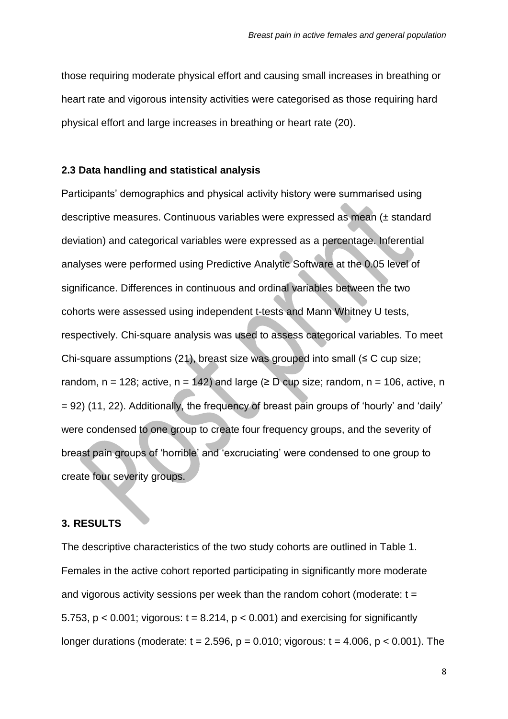those requiring moderate physical effort and causing small increases in breathing or heart rate and vigorous intensity activities were categorised as those requiring hard physical effort and large increases in breathing or heart rate (20).

### **2.3 Data handling and statistical analysis**

Participants' demographics and physical activity history were summarised using descriptive measures. Continuous variables were expressed as mean (± standard deviation) and categorical variables were expressed as a percentage. Inferential analyses were performed using Predictive Analytic Software at the 0.05 level of significance. Differences in continuous and ordinal variables between the two cohorts were assessed using independent t-tests and Mann Whitney U tests, respectively. Chi-square analysis was used to assess categorical variables. To meet Chi-square assumptions (21), breast size was grouped into small  $(\leq C \text{ cup size})$ ; random,  $n = 128$ ; active,  $n = 142$ ) and large ( $\geq D$  cup size; random,  $n = 106$ , active, n = 92) (11, 22). Additionally, the frequency of breast pain groups of 'hourly' and 'daily' were condensed to one group to create four frequency groups, and the severity of breast pain groups of 'horrible' and 'excruciating' were condensed to one group to create four severity groups.

#### **3. RESULTS**

The descriptive characteristics of the two study cohorts are outlined in Table 1. Females in the active cohort reported participating in significantly more moderate and vigorous activity sessions per week than the random cohort (moderate:  $t =$ 5.753,  $p < 0.001$ ; vigorous:  $t = 8.214$ ,  $p < 0.001$ ) and exercising for significantly longer durations (moderate:  $t = 2.596$ ,  $p = 0.010$ ; vigorous:  $t = 4.006$ ,  $p < 0.001$ ). The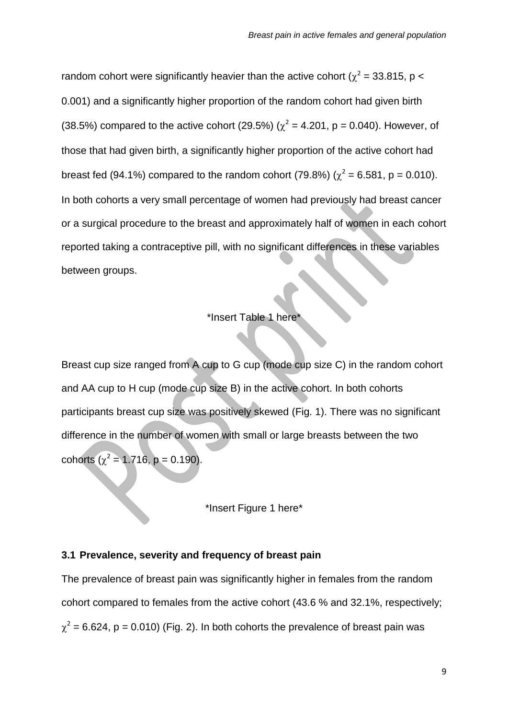random cohort were significantly heavier than the active cohort ( $\chi^2$  = 33.815, p < 0.001) and a significantly higher proportion of the random cohort had given birth (38.5%) compared to the active cohort (29.5%) ( $\chi^2$  = 4.201, p = 0.040). However, of those that had given birth, a significantly higher proportion of the active cohort had breast fed (94.1%) compared to the random cohort (79.8%) ( $\chi^2$  = 6.581, p = 0.010). In both cohorts a very small percentage of women had previously had breast cancer or a surgical procedure to the breast and approximately half of women in each cohort reported taking a contraceptive pill, with no significant differences in these variables between groups.

### \*Insert Table 1 here\*

Breast cup size ranged from A cup to G cup (mode cup size C) in the random cohort and AA cup to H cup (mode cup size B) in the active cohort. In both cohorts participants breast cup size was positively skewed (Fig. 1). There was no significant difference in the number of women with small or large breasts between the two cohorts ( $\chi^2$  = 1.716, p = 0.190).

\*Insert Figure 1 here\*

#### **3.1 Prevalence, severity and frequency of breast pain**

The prevalence of breast pain was significantly higher in females from the random cohort compared to females from the active cohort (43.6 % and 32.1%, respectively;  $\chi^2$  = 6.624, p = 0.010) (Fig. 2). In both cohorts the prevalence of breast pain was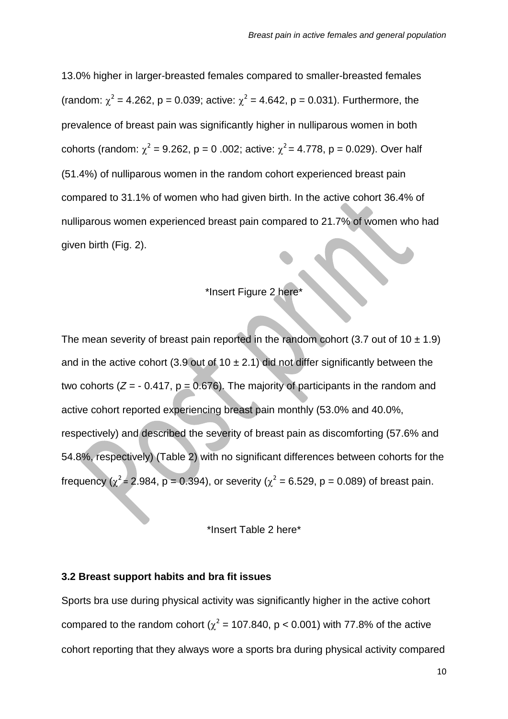13.0% higher in larger-breasted females compared to smaller-breasted females (random:  $\chi^2$  = 4.262, p = 0.039; active:  $\chi^2$  = 4.642, p = 0.031). Furthermore, the prevalence of breast pain was significantly higher in nulliparous women in both cohorts (random:  $\chi^2 = 9.262$ , p = 0.002; active:  $\chi^2 = 4.778$ , p = 0.029). Over half (51.4%) of nulliparous women in the random cohort experienced breast pain compared to 31.1% of women who had given birth. In the active cohort 36.4% of nulliparous women experienced breast pain compared to 21.7% of women who had given birth (Fig. 2).

# \*Insert Figure 2 here\*

The mean severity of breast pain reported in the random cohort (3.7 out of 10  $\pm$  1.9) and in the active cohort (3.9 out of 10  $\pm$  2.1) did not differ significantly between the two cohorts  $(Z = -0.417, p = 0.676)$ . The majority of participants in the random and active cohort reported experiencing breast pain monthly (53.0% and 40.0%, respectively) and described the severity of breast pain as discomforting (57.6% and 54.8%, respectively) (Table 2) with no significant differences between cohorts for the frequency ( $\chi^2$  = 2.984, p = 0.394), or severity ( $\chi^2$  = 6.529, p = 0.089) of breast pain.

\*Insert Table 2 here\*

## **3.2 Breast support habits and bra fit issues**

Sports bra use during physical activity was significantly higher in the active cohort compared to the random cohort ( $\chi^2$  = 107.840, p < 0.001) with 77.8% of the active cohort reporting that they always wore a sports bra during physical activity compared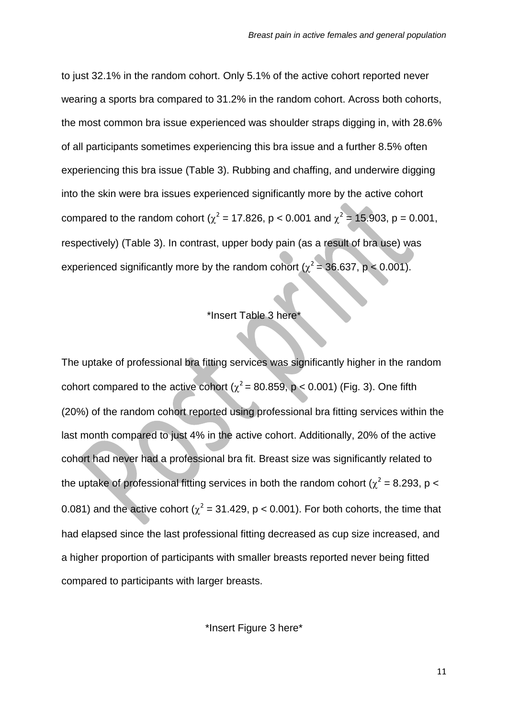to just 32.1% in the random cohort. Only 5.1% of the active cohort reported never wearing a sports bra compared to 31.2% in the random cohort. Across both cohorts, the most common bra issue experienced was shoulder straps digging in, with 28.6% of all participants sometimes experiencing this bra issue and a further 8.5% often experiencing this bra issue (Table 3). Rubbing and chaffing, and underwire digging into the skin were bra issues experienced significantly more by the active cohort compared to the random cohort ( $\chi^2$  = 17.826, p < 0.001 and  $\chi^2$  = 15.903, p = 0.001, respectively) (Table 3). In contrast, upper body pain (as a result of bra use) was experienced significantly more by the random cohort ( $\chi^2$  = 36.637, p < 0.001).

# \*Insert Table 3 here\*

The uptake of professional bra fitting services was significantly higher in the random cohort compared to the active cohort ( $\chi^2$  = 80.859, p < 0.001) (Fig. 3). One fifth (20%) of the random cohort reported using professional bra fitting services within the last month compared to just 4% in the active cohort. Additionally, 20% of the active cohort had never had a professional bra fit. Breast size was significantly related to the uptake of professional fitting services in both the random cohort ( $\chi^2$  = 8.293, p < 0.081) and the active cohort ( $\chi^2$  = 31.429, p < 0.001). For both cohorts, the time that had elapsed since the last professional fitting decreased as cup size increased, and a higher proportion of participants with smaller breasts reported never being fitted compared to participants with larger breasts.

\*Insert Figure 3 here\*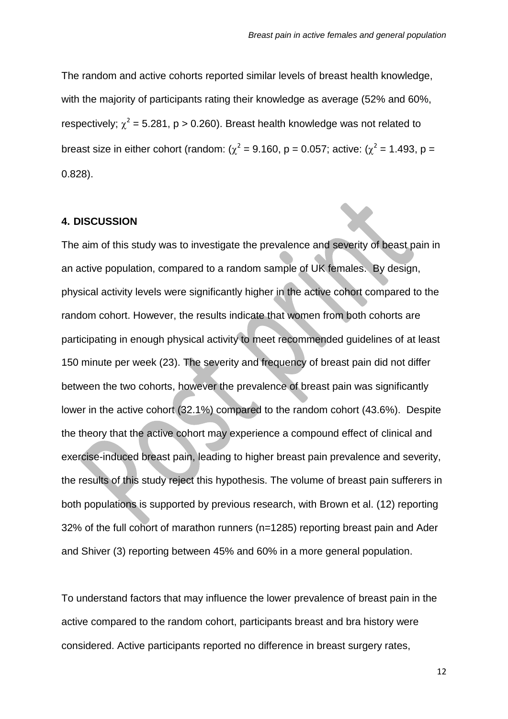The random and active cohorts reported similar levels of breast health knowledge, with the majority of participants rating their knowledge as average (52% and 60%, respectively;  $\chi^2$  = 5.281, p > 0.260). Breast health knowledge was not related to breast size in either cohort (random: ( $\chi^2$  = 9.160, p = 0.057; active: ( $\chi^2$  = 1.493, p = 0.828).

#### **4. DISCUSSION**

The aim of this study was to investigate the prevalence and severity of beast pain in an active population, compared to a random sample of UK females. By design, physical activity levels were significantly higher in the active cohort compared to the random cohort. However, the results indicate that women from both cohorts are participating in enough physical activity to meet recommended guidelines of at least 150 minute per week (23). The severity and frequency of breast pain did not differ between the two cohorts, however the prevalence of breast pain was significantly lower in the active cohort (32.1%) compared to the random cohort (43.6%). Despite the theory that the active cohort may experience a compound effect of clinical and exercise-induced breast pain, leading to higher breast pain prevalence and severity, the results of this study reject this hypothesis. The volume of breast pain sufferers in both populations is supported by previous research, with Brown et al. (12) reporting 32% of the full cohort of marathon runners (n=1285) reporting breast pain and Ader and Shiver (3) reporting between 45% and 60% in a more general population.

To understand factors that may influence the lower prevalence of breast pain in the active compared to the random cohort, participants breast and bra history were considered. Active participants reported no difference in breast surgery rates,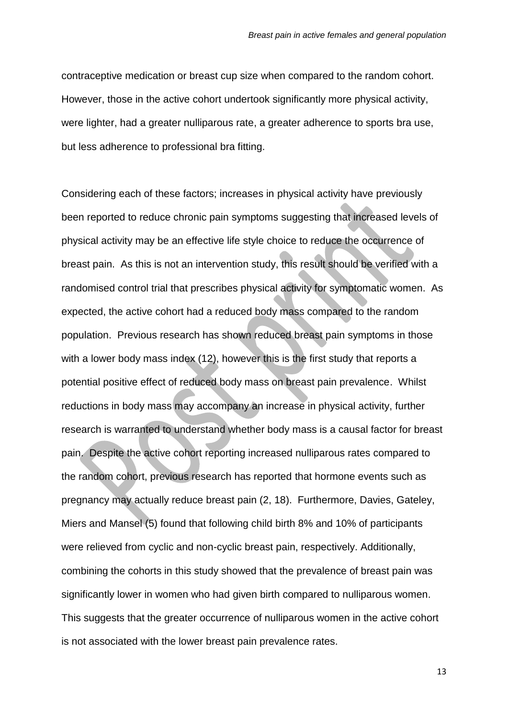contraceptive medication or breast cup size when compared to the random cohort. However, those in the active cohort undertook significantly more physical activity, were lighter, had a greater nulliparous rate, a greater adherence to sports bra use, but less adherence to professional bra fitting.

Considering each of these factors; increases in physical activity have previously been reported to reduce chronic pain symptoms suggesting that increased levels of physical activity may be an effective life style choice to reduce the occurrence of breast pain. As this is not an intervention study, this result should be verified with a randomised control trial that prescribes physical activity for symptomatic women. As expected, the active cohort had a reduced body mass compared to the random population. Previous research has shown reduced breast pain symptoms in those with a lower body mass index (12), however this is the first study that reports a potential positive effect of reduced body mass on breast pain prevalence. Whilst reductions in body mass may accompany an increase in physical activity, further research is warranted to understand whether body mass is a causal factor for breast pain. Despite the active cohort reporting increased nulliparous rates compared to the random cohort, previous research has reported that hormone events such as pregnancy may actually reduce breast pain (2, 18). Furthermore, Davies, Gateley, Miers and Mansel (5) found that following child birth 8% and 10% of participants were relieved from cyclic and non-cyclic breast pain, respectively. Additionally, combining the cohorts in this study showed that the prevalence of breast pain was significantly lower in women who had given birth compared to nulliparous women. This suggests that the greater occurrence of nulliparous women in the active cohort is not associated with the lower breast pain prevalence rates.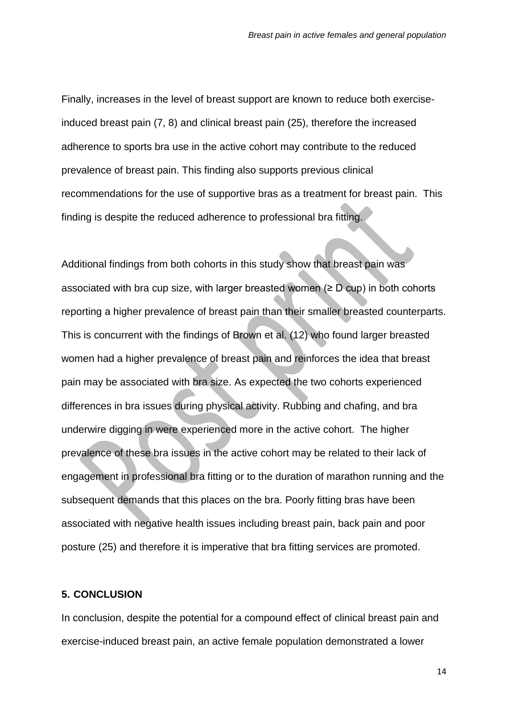Finally, increases in the level of breast support are known to reduce both exerciseinduced breast pain (7, 8) and clinical breast pain (25), therefore the increased adherence to sports bra use in the active cohort may contribute to the reduced prevalence of breast pain. This finding also supports previous clinical recommendations for the use of supportive bras as a treatment for breast pain. This finding is despite the reduced adherence to professional bra fitting.

Additional findings from both cohorts in this study show that breast pain was associated with bra cup size, with larger breasted women  $(\geq D$  cup) in both cohorts reporting a higher prevalence of breast pain than their smaller breasted counterparts. This is concurrent with the findings of Brown et al. (12) who found larger breasted women had a higher prevalence of breast pain and reinforces the idea that breast pain may be associated with bra size. As expected the two cohorts experienced differences in bra issues during physical activity. Rubbing and chafing, and bra underwire digging in were experienced more in the active cohort. The higher prevalence of these bra issues in the active cohort may be related to their lack of engagement in professional bra fitting or to the duration of marathon running and the subsequent demands that this places on the bra. Poorly fitting bras have been associated with negative health issues including breast pain, back pain and poor posture (25) and therefore it is imperative that bra fitting services are promoted.

## **5. CONCLUSION**

In conclusion, despite the potential for a compound effect of clinical breast pain and exercise-induced breast pain, an active female population demonstrated a lower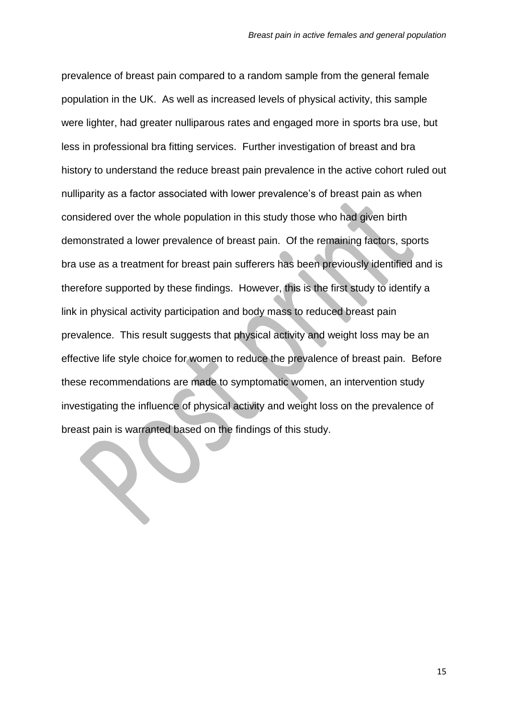prevalence of breast pain compared to a random sample from the general female population in the UK. As well as increased levels of physical activity, this sample were lighter, had greater nulliparous rates and engaged more in sports bra use, but less in professional bra fitting services. Further investigation of breast and bra history to understand the reduce breast pain prevalence in the active cohort ruled out nulliparity as a factor associated with lower prevalence's of breast pain as when considered over the whole population in this study those who had given birth demonstrated a lower prevalence of breast pain. Of the remaining factors, sports bra use as a treatment for breast pain sufferers has been previously identified and is therefore supported by these findings. However, this is the first study to identify a link in physical activity participation and body mass to reduced breast pain prevalence. This result suggests that physical activity and weight loss may be an effective life style choice for women to reduce the prevalence of breast pain. Before these recommendations are made to symptomatic women, an intervention study investigating the influence of physical activity and weight loss on the prevalence of breast pain is warranted based on the findings of this study.

**SEP**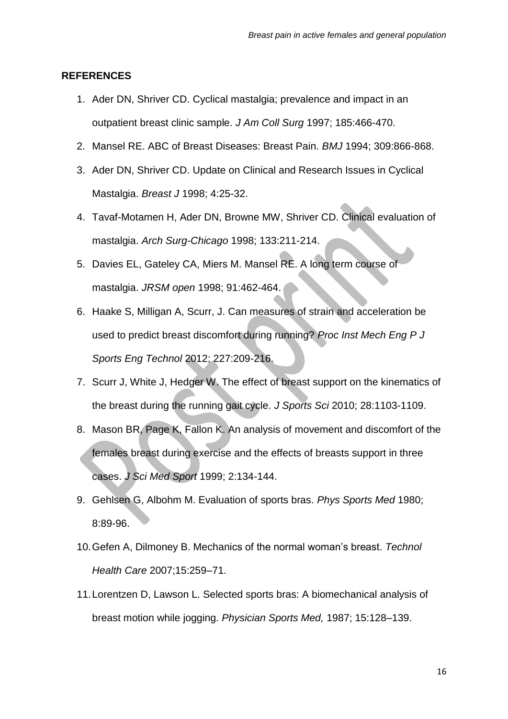## **REFERENCES**

- 1. Ader DN, Shriver CD. Cyclical mastalgia; prevalence and impact in an outpatient breast clinic sample. *J Am Coll Surg* 1997; 185:466-470.
- 2. Mansel RE. ABC of Breast Diseases: Breast Pain. *BMJ* 1994; 309:866-868.
- 3. Ader DN, Shriver CD. Update on Clinical and Research Issues in Cyclical Mastalgia. *Breast J* 1998; 4:25-32.
- 4. Tavaf-Motamen H, Ader DN, Browne MW, Shriver CD. Clinical evaluation of mastalgia. *Arch Surg-Chicago* 1998; 133:211-214.
- 5. Davies EL, Gateley CA, Miers M. Mansel RE. A long term course of mastalgia. *JRSM open* 1998; 91:462-464.
- 6. Haake S, Milligan A, Scurr, J. Can measures of strain and acceleration be used to predict breast discomfort during running? *Proc Inst Mech Eng P J Sports Eng Technol* 2012; 227:209-216.
- 7. Scurr J, White J, Hedger W. The effect of breast support on the kinematics of the breast during the running gait cycle. *J Sports Sci* 2010; 28:1103-1109.
- 8. Mason BR, Page K, Fallon K. An analysis of movement and discomfort of the females breast during exercise and the effects of breasts support in three cases. *J Sci Med Sport* 1999; 2:134-144.
- 9. Gehlsen G, Albohm M. Evaluation of sports bras. *Phys Sports Med* 1980; 8:89-96.
- 10.Gefen A, Dilmoney B. Mechanics of the normal woman's breast. *Technol Health Care* 2007;15:259–71.
- 11.Lorentzen D, Lawson L. Selected sports bras: A biomechanical analysis of breast motion while jogging. *Physician Sports Med,* 1987; 15:128–139.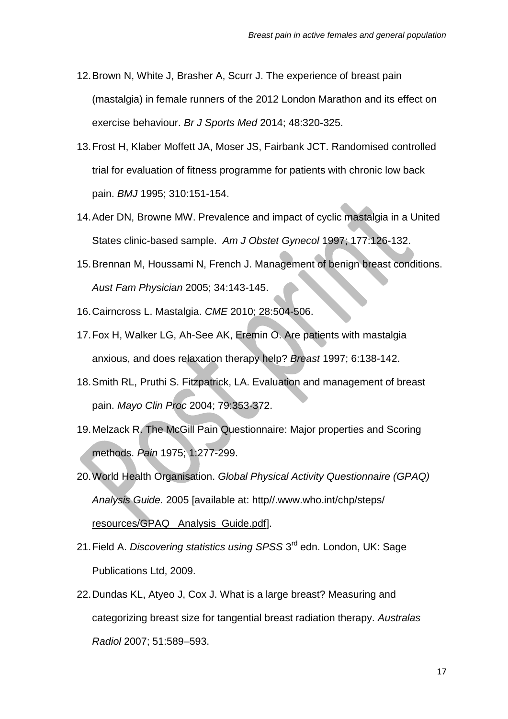- 12.Brown N, White J, Brasher A, Scurr J. The experience of breast pain (mastalgia) in female runners of the 2012 London Marathon and its effect on exercise behaviour. *Br J Sports Med* 2014; 48:320-325.
- 13.Frost H, Klaber Moffett JA, Moser JS, Fairbank JCT. Randomised controlled trial for evaluation of fitness programme for patients with chronic low back pain. *BMJ* 1995; 310:151-154.
- 14.Ader DN, Browne MW. Prevalence and impact of cyclic mastalgia in a United States clinic-based sample. *Am J Obstet Gynecol* 1997; 177:126-132.
- 15.Brennan M, Houssami N, French J. Management of benign breast conditions. *Aust Fam Physician* 2005; 34:143-145.
- 16.Cairncross L. Mastalgia. *CME* 2010; 28:504-506.
- 17.Fox H, Walker LG, Ah-See AK, Eremin O. Are patients with mastalgia anxious, and does relaxation therapy help? *Breast* 1997; 6:138-142.
- 18.Smith RL, Pruthi S. Fitzpatrick, LA. Evaluation and management of breast pain. *Mayo Clin Proc* 2004; 79:353-372.
- 19.Melzack R. The McGill Pain Questionnaire: Major properties and Scoring methods. *Pain* 1975; 1:277-299.
- 20.World Health Organisation. *Global Physical Activity Questionnaire (GPAQ) Analysis Guide.* 2005 [available at: http//.www.who.int/chp/steps/ resources/GPAQ\_ Analysis\_Guide.pdf].
- 21. Field A. *Discovering statistics using SPSS* 3<sup>rd</sup> edn. London, UK: Sage Publications Ltd, 2009.
- 22.Dundas KL, Atyeo J, Cox J. What is a large breast? Measuring and categorizing breast size for tangential breast radiation therapy. *Australas Radiol* 2007; 51:589–593.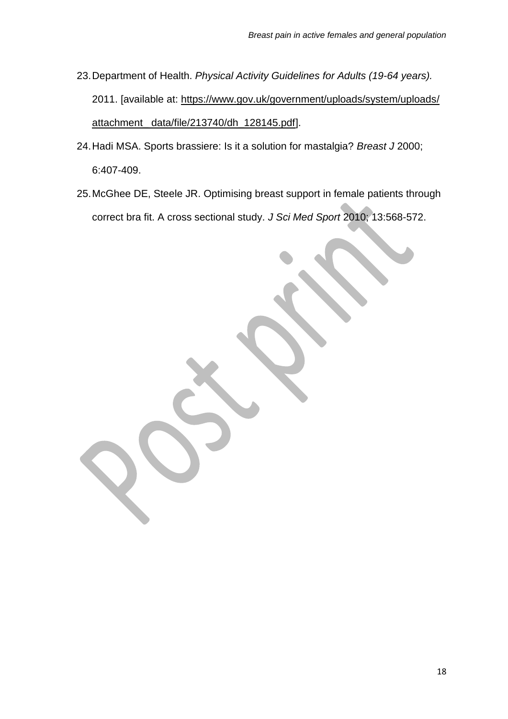- 23.Department of Health. *Physical Activity Guidelines for Adults (19-64 years).*  2011. [available at: [https://www.gov.uk/government/uploads/system/uploads/](https://www.gov.uk/government/uploads/system/uploads) attachment\_ data/file/213740/dh\_128145.pdf].
- 24.Hadi MSA. Sports brassiere: Is it a solution for mastalgia? *Breast J* 2000; 6:407-409.
- 25.McGhee DE, Steele JR. Optimising breast support in female patients through correct bra fit. A cross sectional study. *J Sci Med Sport* 2010; 13:568-572.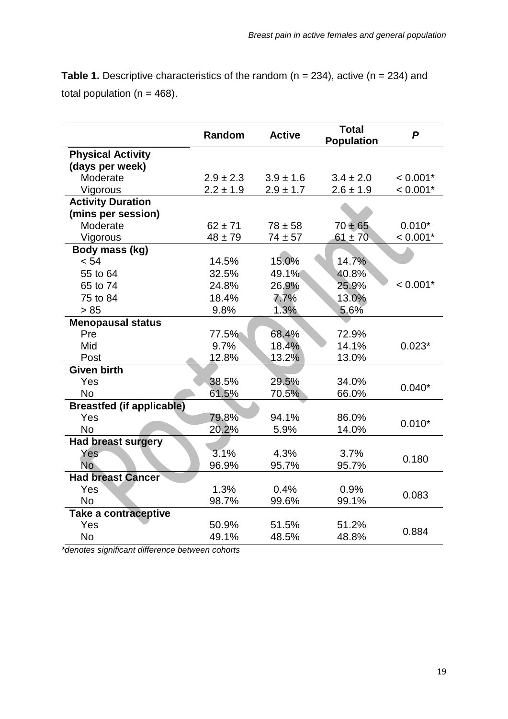**Table 1.** Descriptive characteristics of the random (n = 234), active (n = 234) and total population ( $n = 468$ ).

|                                  | Random        | <b>Active</b> | <b>Total</b><br><b>Population</b> | P          |  |
|----------------------------------|---------------|---------------|-----------------------------------|------------|--|
| <b>Physical Activity</b>         |               |               |                                   |            |  |
| (days per week)                  |               |               |                                   |            |  |
| Moderate                         | $2.9 \pm 2.3$ | $3.9 \pm 1.6$ | $3.4 \pm 2.0$                     | $< 0.001*$ |  |
| Vigorous                         | $2.2 \pm 1.9$ | $2.9 \pm 1.7$ | $2.6 \pm 1.9$                     | $< 0.001*$ |  |
| <b>Activity Duration</b>         |               |               |                                   |            |  |
| (mins per session)               |               |               |                                   |            |  |
| Moderate                         | $62 \pm 71$   | $78 \pm 58$   | $70 + 65$                         | $0.010*$   |  |
| Vigorous                         | $48 \pm 79$   | $74 \pm 57$   | $61 \pm 70$                       | $< 0.001*$ |  |
| Body mass (kg)                   |               |               |                                   |            |  |
| < 54                             | 14.5%         | 15.0%         | 14.7%                             |            |  |
| 55 to 64                         | 32.5%         | 49.1%         | 40.8%                             |            |  |
| 65 to 74                         | 24.8%         | 26.9%         | 25.9%                             | $< 0.001*$ |  |
| 75 to 84                         | 18.4%         | 7.7%          | 13.0%                             |            |  |
| > 85                             | 9.8%          | 1.3%          | 5.6%                              |            |  |
| <b>Menopausal status</b>         |               |               |                                   |            |  |
| Pre                              | 77.5%         | 68.4%         | 72.9%                             |            |  |
| Mid                              | 9.7%          | 18.4%         | 14.1%                             | $0.023*$   |  |
| Post                             | 12.8%         | 13.2%         | 13.0%                             |            |  |
| <b>Given birth</b>               |               |               |                                   |            |  |
| Yes                              | 38.5%         | 29.5%         | 34.0%                             | $0.040*$   |  |
| <b>No</b>                        | 61.5%         | 70.5%         | 66.0%                             |            |  |
| <b>Breastfed (if applicable)</b> |               |               |                                   |            |  |
| Yes                              | 79.8%         | 94.1%         | 86.0%                             | $0.010*$   |  |
| <b>No</b>                        | 20.2%         | 5.9%          | 14.0%                             |            |  |
| <b>Had breast surgery</b>        |               |               |                                   |            |  |
| Yes                              | 3.1%          | 4.3%          | 3.7%                              | 0.180      |  |
| <b>No</b>                        | 96.9%         | 95.7%         | 95.7%                             |            |  |
| <b>Had breast Cancer</b>         |               |               |                                   |            |  |
| Yes                              | 1.3%          | 0.4%          | 0.9%                              | 0.083      |  |
| <b>No</b>                        | 98.7%         | 99.6%         | 99.1%                             |            |  |
| Take a contraceptive             |               |               |                                   |            |  |
| Yes                              | 50.9%         | 51.5%         | 51.2%                             | 0.884      |  |
| <b>No</b>                        | 49.1%         | 48.5%         | 48.8%                             |            |  |

*\*denotes significant difference between cohorts*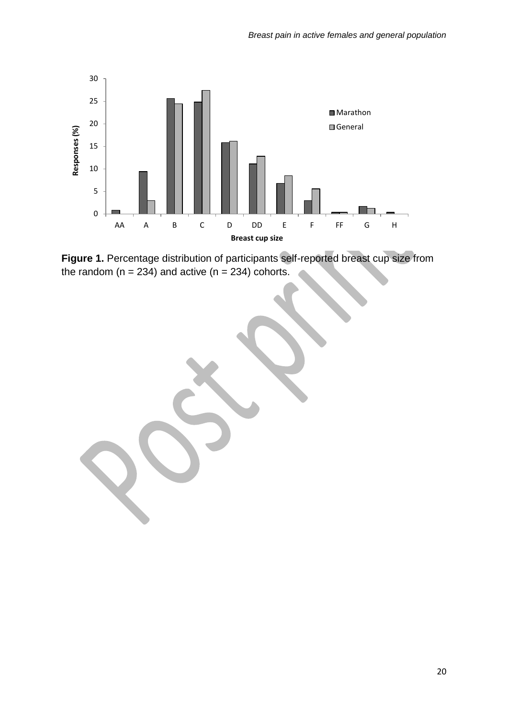

**Figure 1.** Percentage distribution of participants self-reported breast cup size from the random ( $n = 234$ ) and active ( $n = 234$ ) cohorts.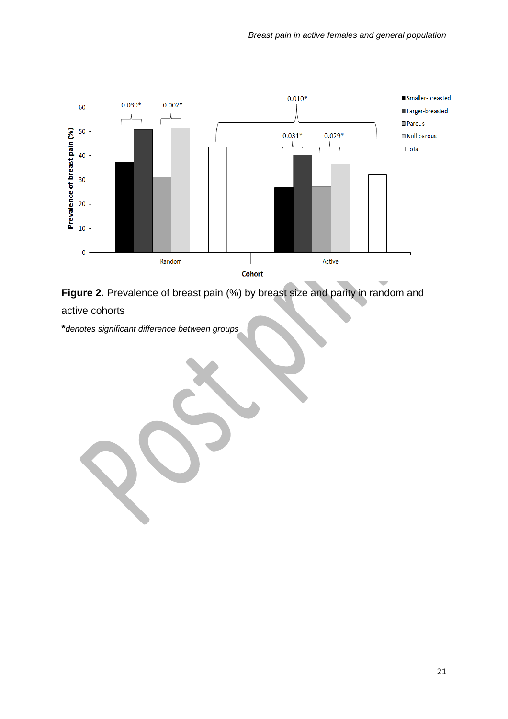

**Figure 2.** Prevalence of breast pain (%) by breast size and parity in random and active cohorts

**\****denotes significant difference between groups*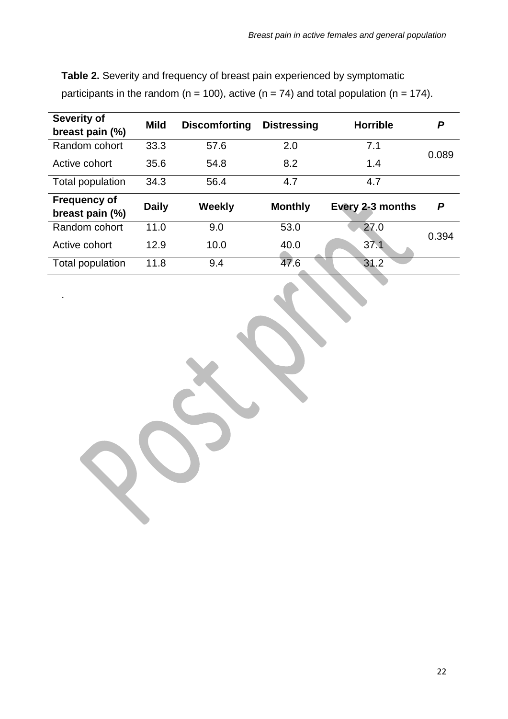| <b>Severity of</b>  | <b>Mild</b>  | <b>Discomforting</b> | <b>Distressing</b> | <b>Horrible</b>  | P     |  |  |  |
|---------------------|--------------|----------------------|--------------------|------------------|-------|--|--|--|
| breast pain (%)     |              |                      |                    |                  |       |  |  |  |
| Random cohort       | 33.3         | 57.6                 | 2.0                | 7.1              |       |  |  |  |
| Active cohort       | 35.6         | 54.8                 | 8.2                | 1.4              | 0.089 |  |  |  |
| Total population    | 34.3         | 56.4                 | 4.7                | 4.7              |       |  |  |  |
| <b>Frequency of</b> |              |                      |                    |                  | P     |  |  |  |
| breast pain (%)     | <b>Daily</b> | <b>Weekly</b>        | <b>Monthly</b>     | Every 2-3 months |       |  |  |  |
| Random cohort       | 11.0         | 9.0                  | 53.0               | 27.0             | 0.394 |  |  |  |
| Active cohort       | 12.9         | 10.0                 | 40.0               | 37.1             |       |  |  |  |
| Total population    | 11.8         | 9.4                  | 47.6               | 31.2             |       |  |  |  |

.

**Table 2.** Severity and frequency of breast pain experienced by symptomatic participants in the random ( $n = 100$ ), active ( $n = 74$ ) and total population ( $n = 174$ ).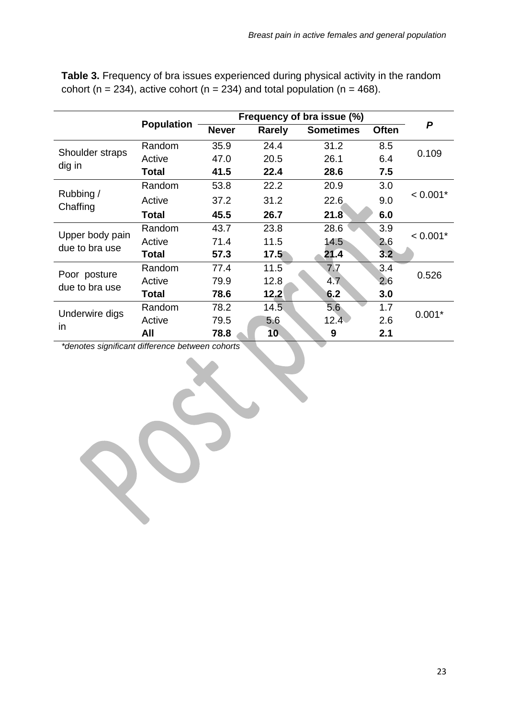|                                   |                   | Frequency of bra issue (%) |               |                  |              |                  |
|-----------------------------------|-------------------|----------------------------|---------------|------------------|--------------|------------------|
|                                   | <b>Population</b> | <b>Never</b>               | <b>Rarely</b> | <b>Sometimes</b> | <b>Often</b> | $\boldsymbol{P}$ |
| Shoulder straps<br>dig in         | Random            | 35.9                       | 24.4          | 31.2             | 8.5          | 0.109            |
|                                   | Active            | 47.0                       | 20.5          | 26.1             | 6.4          |                  |
|                                   | Total             | 41.5                       | 22.4          | 28.6             | 7.5          |                  |
| Rubbing /<br>Chaffing             | Random            | 53.8                       | 22.2          | 20.9             | 3.0          |                  |
|                                   | Active            | 37.2                       | 31.2          | 22.6             | 9.0          | $< 0.001*$       |
|                                   | Total             | 45.5                       | 26.7          | 21.8             | 6.0          |                  |
| Upper body pain<br>due to bra use | Random            | 43.7                       | 23.8          | 28.6             | 3.9          | $< 0.001*$       |
|                                   | Active            | 71.4                       | 11.5          | 14.5             | 2.6          |                  |
|                                   | Total             | 57.3                       | 17.5          | 21.4             | 3.2          |                  |
| Poor posture<br>due to bra use    | Random            | 77.4                       | 11.5          | 7.7              | 3.4          | 0.526            |
|                                   | Active            | 79.9                       | 12.8          | 4.7              | 2.6          |                  |
|                                   | Total             | 78.6                       | 12.2          | 6.2              | 3.0          |                  |
| Underwire digs<br>in              | Random            | 78.2                       | 14.5.         | 5.6              | 1.7          | $0.001*$         |
|                                   | Active            | 79.5                       | 5.6           | 12.4             | 2.6          |                  |
|                                   | All               | 78.8                       | 10            | 9                | 2.1          |                  |

**Table 3.** Frequency of bra issues experienced during physical activity in the random cohort (n = 234), active cohort (n = 234) and total population (n = 468).

*\*denotes significant difference between cohorts*